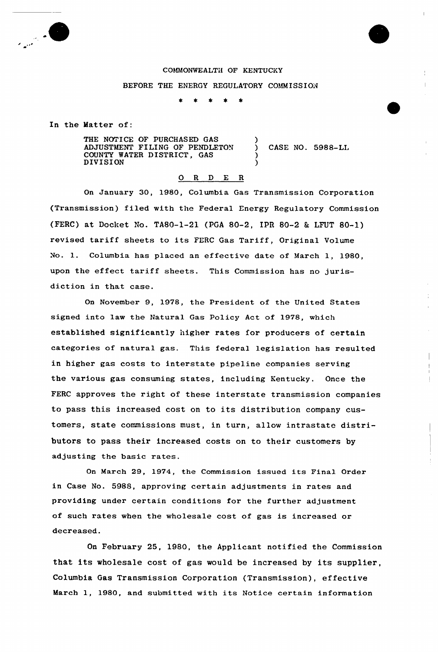

## COMMONWEALTii OF KENTUCKY

## BEFORE THE ENERGY REGULATORY COMMISSION

)

) )

 $\bullet$  $\rightarrow$ 

In the Hatter of:

THE NOTICE OF PURCHASED GAS ADJUSTMENT FILING OF PENDLETON COUNTY WATER DISTRICT, GAS DIVISION

CASE NO. 5988-LL

## $O$  R  $D$  E R

On January 30, 1980, Columbia Gas Transmission Corporation (Transmission) filed with the Federal Energy Regulatory Commission (FERC) at Docket No. TA80-1-21 (PGA 80-2, IPR 80-2 & LFUT 80-1) revised tariff sheets to its FERC Gas Tariff, Original Volume No. 1. Columbia has placed an effective date of March 1, 1980, upon the effect tariff sheets. This Commission has no jurisdiction in that case.

On November 9, 1978, the President of the United States signed into law the Natural Gas Policy Act of 1978, which established significantly higher rates for producers of certain categories of natural gas. This federal legislation has resulted in higher gas costs to interstate pipeline companies serving the various gas consuming states, including Kentucky. Once the FERC approves the right of these interstate transmission companies to pass this increased cost on to its distribution company customers, state commissions must, in turn, allow intrastate distributors to pass their increased costs on to their customers by adjusting the basic rates.

On March 29, 1974, the Commission issued its Final Order in Case No. 5988, approving certain adjustments in rates and providing under certain conditions for the further adjustment of such rates when the wholesale cost of gas is increased or decreased.

On February 25, 1980, the Applicant notified the Commission that its wholesale cost of gas would be increased by its supplier, Columbia Gas Transmission Corporation (Transmission), effective March 1, 1980, and submitted with its Notice certain information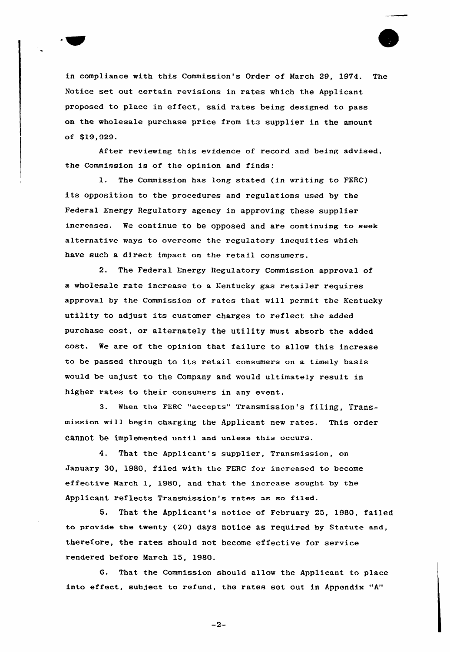

After reviewing this evidence of record and being advised, the Commission is of the opinion and finds:

1. The Commission has long stated (in writing to FERC) its opposition to the procedures and regulations used by the Federal Energy Regulatory agency in approving these supplier increases. We continue to be opposed and are continuing to seek alternative ways to overcome the regulatory inequities which have such a direct impact on the retail consumers.

2. The Federal Energy Regulatory Commission approval of a wholesale rate increase to a Kentucky gas retailer requires approval by the Commission of rates that will permit the Kentucky utility to adjust its customer charges to reflect the added purchase cost, or alternately the utility must absorb the added cost. We are of the opinion that failure to allow this increase to be passed through to its retail consumers on a timely basis would be unjust to the Company and would ultimately result in higher rates to their consumers in any event.

3. When the FERC "accepts" Transmission's filing, Transmission will begin charging the Applicant new rates. This order cannot be implemented until and unless this occurs.

4. That the Applicant's supplier, Transmission, on January 30, 1980, filed with the PERC for increased to become effective March 1, 1980, and that the increase sought by the Applicant reflects Transmission's rates as so filed.

5. That the Applicant's notice of February 25, 1980, failed to provide the twenty (20) days notice as required by Statute and, therefore, the rates should not become effective for service rendered before March 15, 1980.

That the Commission should allow the Applicant to place into effect, subject to refund, the rates set out in Appendix "A"

 $-2-$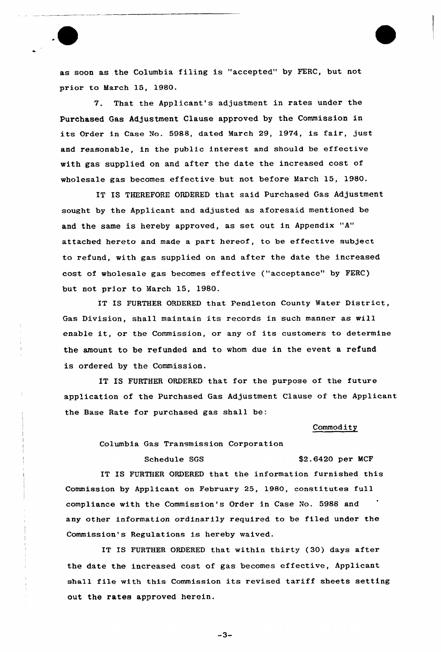

as soon as the Columbia filing is "accepted" by FERC, but not prior to March 15, 1980.

7. That the Applicant's adjustment in rates under the Purchased Gas Adjustment Clause approved by the Commission in its Order in Case No. 5988, dated March 29, 1974, is fair, just and reasonable, in the public interest and should be effective with gas supplied on and after the date the increased cost of wholesale gas becomes effective but not before March 15, 1980.

IT IS THEREFORE ORDERED that said Purchased Gas Adjustment sought by the Applicant and adjusted as aforesaid mentioned be and the same is hereby approved, as set out in Appendix "A" attached hereto and made a part hereof, to be effective subject to refund, with gas supplied on and after the date the increased cost of wholesale gas becomes effective ("acceptance" by FERC) but not prior to March 15, 1980.

IT IS FURTHER ORDERED that Pendleton County Water District, Gas Division, shall maintain its records in such manner as will enable it, or the Commission, or any of its customers to determine the amount to be refunded and to whom due in the event a refund is ordered by the Commission.

IT IS FURTHER ORDERED that for the purpose of the future app'ication of the Purchased Gas Adjustment Clause of the Applicant the Base Rate for purchased gas shall be:

## Commodity

Columbia Gas Transmission Corporation

Schedule SGS \$2.6420 per MCF IT IS FURTHER ORDERED that the information furnished this Commission by Applicant on February 25, 1980, constitutes full compliance with the Commission's Order in Case No. 5988 and any other information ordinarily required to be filed under the Commission's Regulations is hereby waived.

IT IS FURTHER ORDERED that within thirty (30) days after the date the increased cost of gas becomes effective, Applicant shall file with this Commission its revised tariff sheets setting out the rates approved herein.

 $-3-$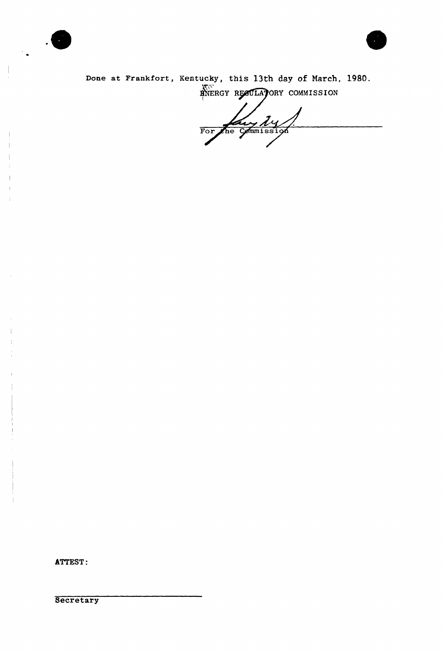



Done at Frankfort, Kentucky, this 13th day of March, 1980. HNERGY RECULATORY COMMISSION

For the Commission

ATTEST:

Secretary